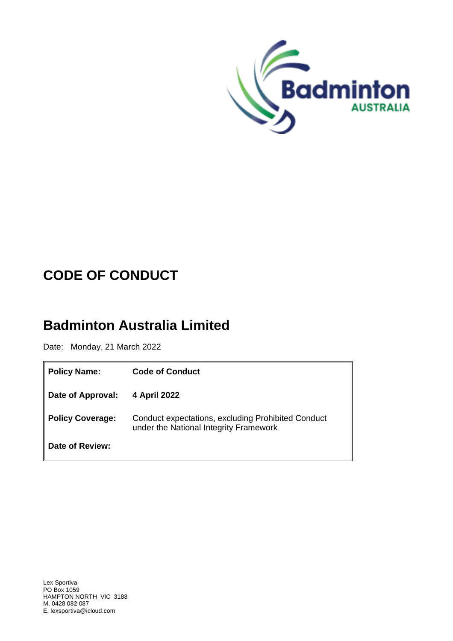

# **CODE OF CONDUCT**

## **Badminton Australia Limited**

Date: Monday, 21 March 2022

| Policy Name:           | <b>Code of Conduct</b>                                                                       |
|------------------------|----------------------------------------------------------------------------------------------|
| Date of Approval:      | 4 April 2022                                                                                 |
| Policy Coverage:       | Conduct expectations, excluding Prohibited Conduct<br>under the National Integrity Framework |
| <b>Date of Review:</b> |                                                                                              |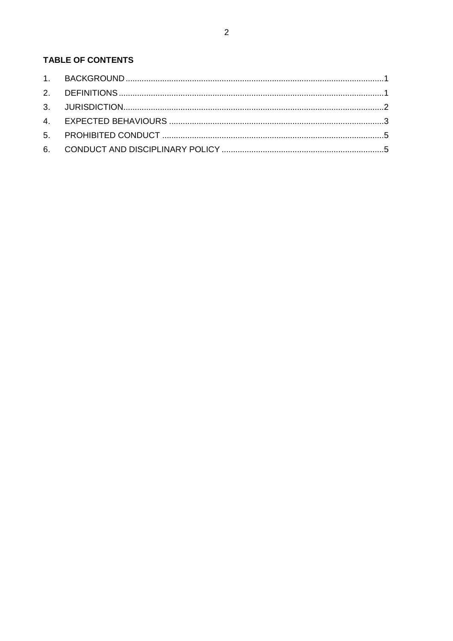### TABLE OF CONTENTS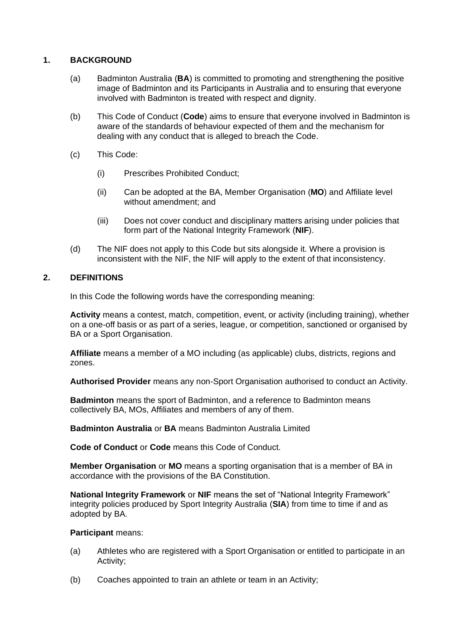#### <span id="page-2-0"></span>**1. BACKGROUND**

- (a) Badminton Australia (**BA**) is committed to promoting and strengthening the positive image of Badminton and its Participants in Australia and to ensuring that everyone involved with Badminton is treated with respect and dignity.
- (b) This Code of Conduct (**Code**) aims to ensure that everyone involved in Badminton is aware of the standards of behaviour expected of them and the mechanism for dealing with any conduct that is alleged to breach the Code.
- (c) This Code:
	- (i) Prescribes Prohibited Conduct;
	- (ii) Can be adopted at the BA, Member Organisation (**MO**) and Affiliate level without amendment; and
	- (iii) Does not cover conduct and disciplinary matters arising under policies that form part of the National Integrity Framework (**NIF**).
- (d) The NIF does not apply to this Code but sits alongside it. Where a provision is inconsistent with the NIF, the NIF will apply to the extent of that inconsistency.

#### <span id="page-2-1"></span>**2. DEFINITIONS**

In this Code the following words have the corresponding meaning:

**Activity** means a contest, match, competition, event, or activity (including training), whether on a one-off basis or as part of a series, league, or competition, sanctioned or organised by BA or a Sport Organisation.

**Affiliate** means a member of a MO including (as applicable) clubs, districts, regions and zones.

**Authorised Provider** means any non-Sport Organisation authorised to conduct an Activity.

**Badminton** means the sport of Badminton, and a reference to Badminton means collectively BA, MOs, Affiliates and members of any of them.

**Badminton Australia** or **BA** means Badminton Australia Limited

**Code of Conduct** or **Code** means this Code of Conduct.

**Member Organisation** or **MO** means a sporting organisation that is a member of BA in accordance with the provisions of the BA Constitution.

**National Integrity Framework** or **NIF** means the set of "National Integrity Framework" integrity policies produced by Sport Integrity Australia (**SIA**) from time to time if and as adopted by BA.

#### **Participant** means:

- (a) Athletes who are registered with a Sport Organisation or entitled to participate in an Activity;
- (b) Coaches appointed to train an athlete or team in an Activity;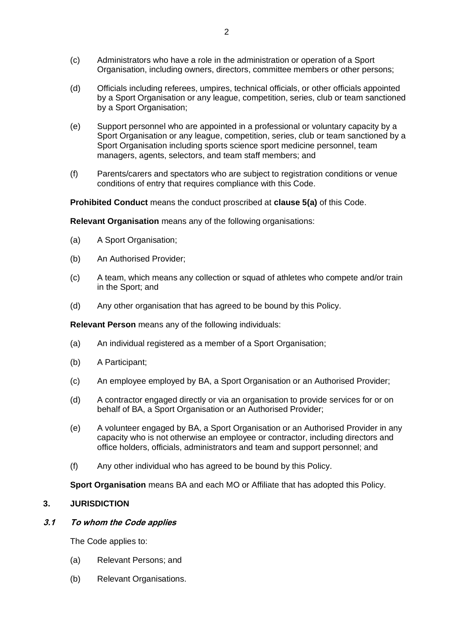- (c) Administrators who have a role in the administration or operation of a Sport Organisation, including owners, directors, committee members or other persons;
- (d) Officials including referees, umpires, technical officials, or other officials appointed by a Sport Organisation or any league, competition, series, club or team sanctioned by a Sport Organisation;
- (e) Support personnel who are appointed in a professional or voluntary capacity by a Sport Organisation or any league, competition, series, club or team sanctioned by a Sport Organisation including sports science sport medicine personnel, team managers, agents, selectors, and team staff members; and
- (f) Parents/carers and spectators who are subject to registration conditions or venue conditions of entry that requires compliance with this Code.

**Prohibited Conduct** means the conduct proscribed at **clause [5\(a\)](#page-6-2)** of this Code.

**Relevant Organisation** means any of the following organisations:

- (a) A Sport Organisation;
- (b) An Authorised Provider;
- (c) A team, which means any collection or squad of athletes who compete and/or train in the Sport; and
- (d) Any other organisation that has agreed to be bound by this Policy.

**Relevant Person** means any of the following individuals:

- (a) An individual registered as a member of a Sport Organisation;
- (b) A Participant;
- (c) An employee employed by BA, a Sport Organisation or an Authorised Provider;
- (d) A contractor engaged directly or via an organisation to provide services for or on behalf of BA, a Sport Organisation or an Authorised Provider;
- (e) A volunteer engaged by BA, a Sport Organisation or an Authorised Provider in any capacity who is not otherwise an employee or contractor, including directors and office holders, officials, administrators and team and support personnel; and
- (f) Any other individual who has agreed to be bound by this Policy.

**Sport Organisation** means BA and each MO or Affiliate that has adopted this Policy.

#### <span id="page-3-0"></span>**3. JURISDICTION**

#### **3.1 To whom the Code applies**

The Code applies to:

- (a) Relevant Persons; and
- (b) Relevant Organisations.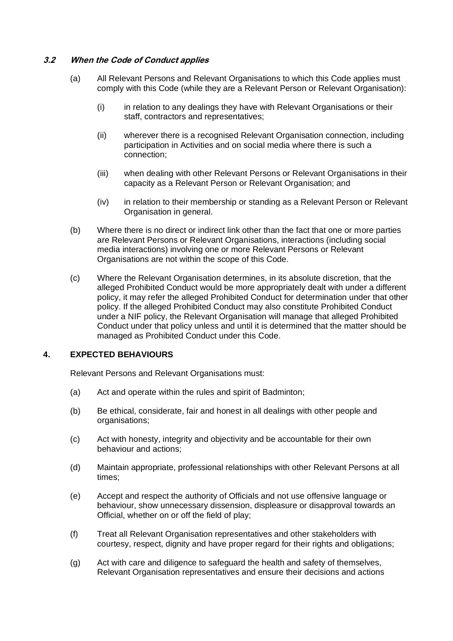#### **3.2 When the Code of Conduct applies**

- (a) All Relevant Persons and Relevant Organisations to which this Code applies must comply with this Code (while they are a Relevant Person or Relevant Organisation):
	- (i) in relation to any dealings they have with Relevant Organisations or their staff, contractors and representatives;
	- (ii) wherever there is a recognised Relevant Organisation connection, including participation in Activities and on social media where there is such a connection;
	- (iii) when dealing with other Relevant Persons or Relevant Organisations in their capacity as a Relevant Person or Relevant Organisation; and
	- (iv) in relation to their membership or standing as a Relevant Person or Relevant Organisation in general.
- (b) Where there is no direct or indirect link other than the fact that one or more parties are Relevant Persons or Relevant Organisations, interactions (including social media interactions) involving one or more Relevant Persons or Relevant Organisations are not within the scope of this Code.
- (c) Where the Relevant Organisation determines, in its absolute discretion, that the alleged Prohibited Conduct would be more appropriately dealt with under a different policy, it may refer the alleged Prohibited Conduct for determination under that other policy. If the alleged Prohibited Conduct may also constitute Prohibited Conduct under a NIF policy, the Relevant Organisation will manage that alleged Prohibited Conduct under that policy unless and until it is determined that the matter should be managed as Prohibited Conduct under this Code.

#### <span id="page-4-0"></span>**4. EXPECTED BEHAVIOURS**

Relevant Persons and Relevant Organisations must:

- (a) Act and operate within the rules and spirit of Badminton;
- (b) Be ethical, considerate, fair and honest in all dealings with other people and organisations;
- (c) Act with honesty, integrity and objectivity and be accountable for their own behaviour and actions;
- (d) Maintain appropriate, professional relationships with other Relevant Persons at all times;
- (e) Accept and respect the authority of Officials and not use offensive language or behaviour, show unnecessary dissension, displeasure or disapproval towards an Official, whether on or off the field of play;
- (f) Treat all Relevant Organisation representatives and other stakeholders with courtesy, respect, dignity and have proper regard for their rights and obligations;
- (g) Act with care and diligence to safeguard the health and safety of themselves, Relevant Organisation representatives and ensure their decisions and actions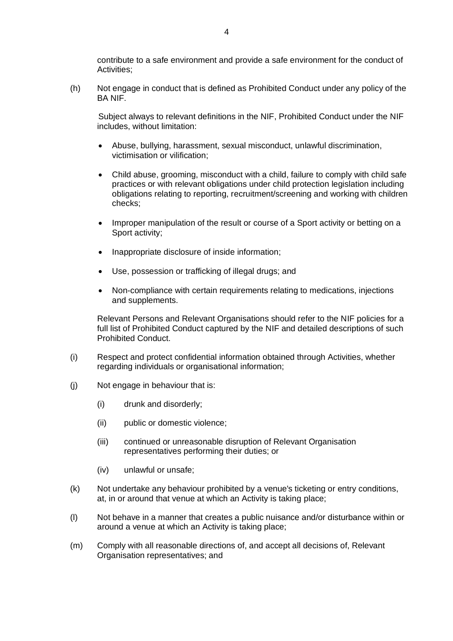contribute to a safe environment and provide a safe environment for the conduct of Activities;

(h) Not engage in conduct that is defined as Prohibited Conduct under any policy of the BA NIF.

Subject always to relevant definitions in the NIF, Prohibited Conduct under the NIF includes, without limitation:

- Abuse, bullying, harassment, sexual misconduct, unlawful discrimination, victimisation or vilification;
- Child abuse, grooming, misconduct with a child, failure to comply with child safe practices or with relevant obligations under child protection legislation including obligations relating to reporting, recruitment/screening and working with children checks;
- Improper manipulation of the result or course of a Sport activity or betting on a Sport activity;
- Inappropriate disclosure of inside information;
- Use, possession or trafficking of illegal drugs; and
- Non-compliance with certain requirements relating to medications, injections and supplements.

Relevant Persons and Relevant Organisations should refer to the NIF policies for a full list of Prohibited Conduct captured by the NIF and detailed descriptions of such Prohibited Conduct.

- <span id="page-5-0"></span>(i) Respect and protect confidential information obtained through Activities, whether regarding individuals or organisational information;
- (j) Not engage in behaviour that is:
	- (i) drunk and disorderly;
	- (ii) public or domestic violence;
	- (iii) continued or unreasonable disruption of Relevant Organisation representatives performing their duties; or
	- (iv) unlawful or unsafe;
- (k) Not undertake any behaviour prohibited by a venue's ticketing or entry conditions, at, in or around that venue at which an Activity is taking place;
- (l) Not behave in a manner that creates a public nuisance and/or disturbance within or around a venue at which an Activity is taking place;
- (m) Comply with all reasonable directions of, and accept all decisions of, Relevant Organisation representatives; and